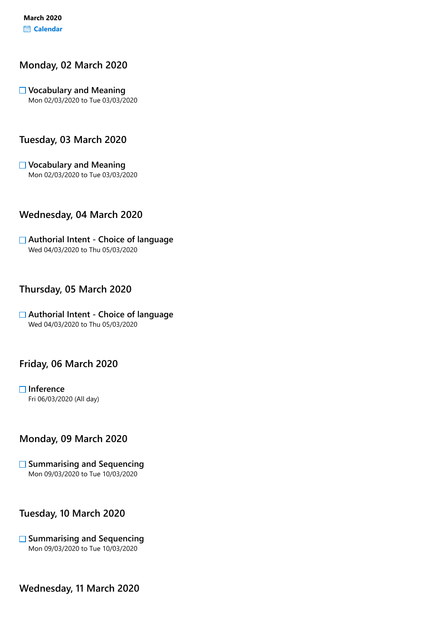## Monday, 02 March 2020

 $\Box$  Vocabulary and Meaning Mon 02/03/2020 to Tue 03/03/2020

## Tuesday, 03 March 2020

Vocabulary and Meaning Mon 02/03/2020 to Tue 03/03/2020

## Wednesday, 04 March 2020

#### **□ Authorial Intent - Choice of language** Wed 04/03/2020 to Thu 05/03/2020

#### Thursday, 05 March 2020

 $\Box$  Authorial Intent - Choice of language Wed 04/03/2020 to Thu 05/03/2020

## Friday, 06 March 2020

 $\Box$  Inference Fri 06/03/2020 (All day)

## Monday, 09 March 2020

 $\Box$  Summarising and Sequencing Mon 09/03/2020 to Tue 10/03/2020

## Tuesday, 10 March 2020

#### $\square$  Summarising and Sequencing Mon 09/03/2020 to Tue 10/03/2020

Wednesday, 11 March 2020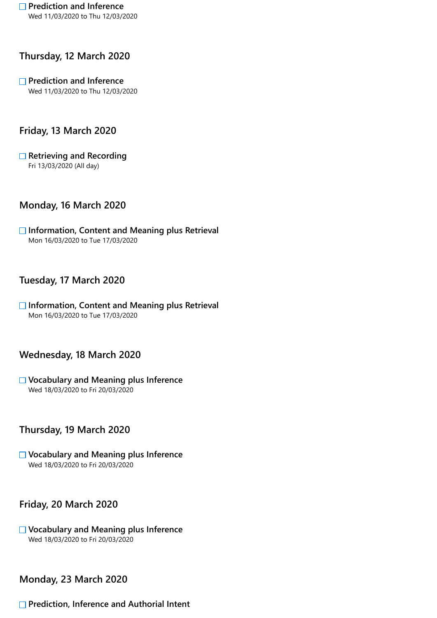# Thursday, 12 March 2020

#### $\Box$  Prediction and Inference Wed 11/03/2020 to Thu 12/03/2020

# Friday, 13 March 2020

 $\Box$  Retrieving and Recording Fri 13/03/2020 (All day)

## Monday, 16 March 2020

 $\Box$  Information, Content and Meaning plus Retrieval Mon 16/03/2020 to Tue 17/03/2020

# Tuesday, 17 March 2020

 $\Box$  Information, Content and Meaning plus Retrieval Mon 16/03/2020 to Tue 17/03/2020

## Wednesday, 18 March 2020

 $\Box$  Vocabulary and Meaning plus Inference Wed 18/03/2020 to Fri 20/03/2020

# Thursday, 19 March 2020

Vocabulary and Meaning plus Inference Wed 18/03/2020 to Fri 20/03/2020

## Friday, 20 March 2020

**□ Vocabulary and Meaning plus Inference** Wed 18/03/2020 to Fri 20/03/2020

## Monday, 23 March 2020

#### **□ Prediction, Inference and Authorial Intent**